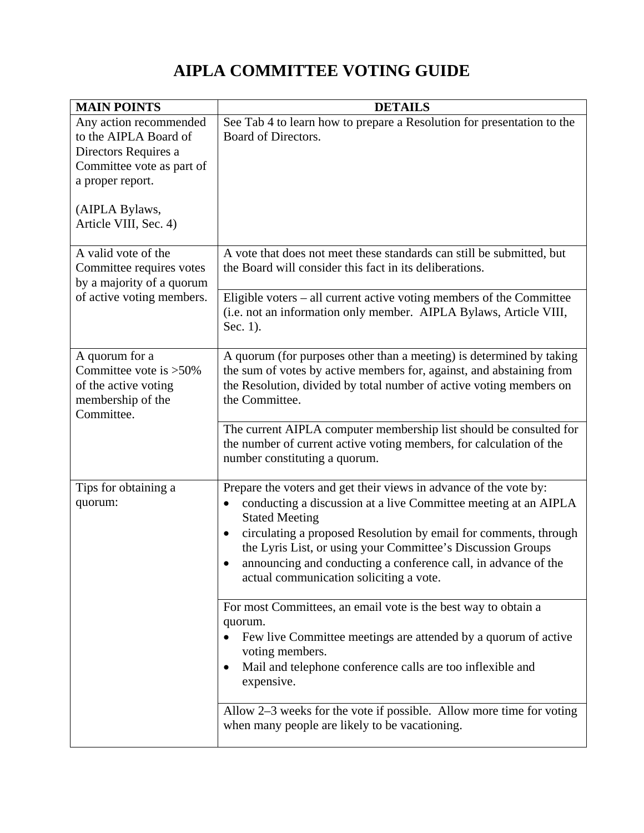## **AIPLA COMMITTEE VOTING GUIDE**

| <b>MAIN POINTS</b>                                                                                                                                                  | <b>DETAILS</b>                                                                                                                                                                                                                                                                                                                                                                                                                  |
|---------------------------------------------------------------------------------------------------------------------------------------------------------------------|---------------------------------------------------------------------------------------------------------------------------------------------------------------------------------------------------------------------------------------------------------------------------------------------------------------------------------------------------------------------------------------------------------------------------------|
| Any action recommended<br>to the AIPLA Board of<br>Directors Requires a<br>Committee vote as part of<br>a proper report.<br>(AIPLA Bylaws,<br>Article VIII, Sec. 4) | See Tab 4 to learn how to prepare a Resolution for presentation to the<br>Board of Directors.                                                                                                                                                                                                                                                                                                                                   |
| A valid vote of the<br>Committee requires votes<br>by a majority of a quorum<br>of active voting members.                                                           | A vote that does not meet these standards can still be submitted, but<br>the Board will consider this fact in its deliberations.                                                                                                                                                                                                                                                                                                |
|                                                                                                                                                                     | Eligible voters – all current active voting members of the Committee<br>(i.e. not an information only member. AIPLA Bylaws, Article VIII,<br>Sec. 1).                                                                                                                                                                                                                                                                           |
| A quorum for a<br>Committee vote is >50%<br>of the active voting<br>membership of the<br>Committee.                                                                 | A quorum (for purposes other than a meeting) is determined by taking<br>the sum of votes by active members for, against, and abstaining from<br>the Resolution, divided by total number of active voting members on<br>the Committee.<br>The current AIPLA computer membership list should be consulted for<br>the number of current active voting members, for calculation of the                                              |
|                                                                                                                                                                     | number constituting a quorum.                                                                                                                                                                                                                                                                                                                                                                                                   |
| Tips for obtaining a<br>quorum:                                                                                                                                     | Prepare the voters and get their views in advance of the vote by:<br>conducting a discussion at a live Committee meeting at an AIPLA<br>$\bullet$<br><b>Stated Meeting</b><br>circulating a proposed Resolution by email for comments, through<br>٠<br>the Lyris List, or using your Committee's Discussion Groups<br>announcing and conducting a conference call, in advance of the<br>actual communication soliciting a vote. |
|                                                                                                                                                                     | For most Committees, an email vote is the best way to obtain a<br>quorum.<br>Few live Committee meetings are attended by a quorum of active<br>voting members.<br>Mail and telephone conference calls are too inflexible and<br>٠<br>expensive.                                                                                                                                                                                 |
|                                                                                                                                                                     | Allow $2-3$ weeks for the vote if possible. Allow more time for voting<br>when many people are likely to be vacationing.                                                                                                                                                                                                                                                                                                        |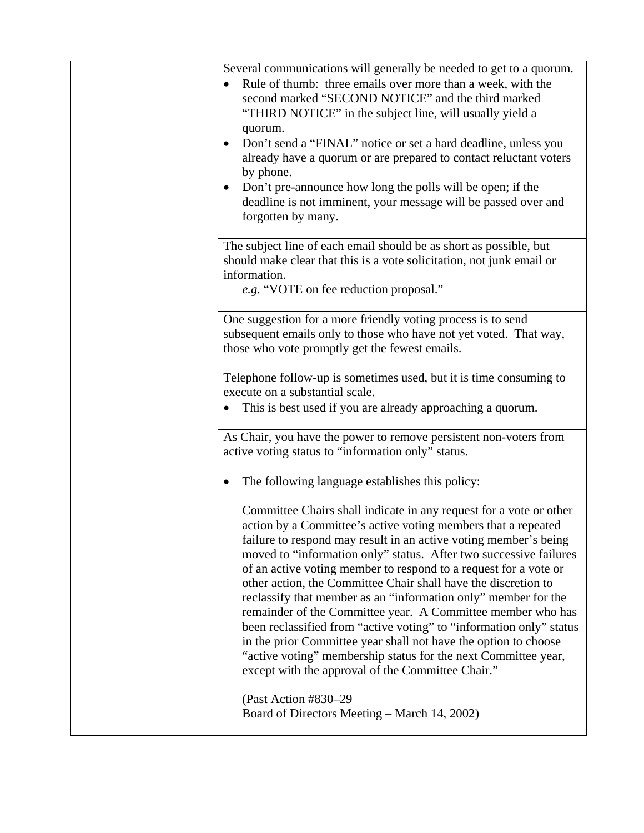| Several communications will generally be needed to get to a quorum.<br>Rule of thumb: three emails over more than a week, with the<br>$\bullet$<br>second marked "SECOND NOTICE" and the third marked<br>"THIRD NOTICE" in the subject line, will usually yield a<br>quorum.<br>Don't send a "FINAL" notice or set a hard deadline, unless you<br>already have a quorum or are prepared to contact reluctant voters<br>by phone.<br>Don't pre-announce how long the polls will be open; if the<br>deadline is not imminent, your message will be passed over and<br>forgotten by many.                                                                                                                                                                                                                                                                                       |
|------------------------------------------------------------------------------------------------------------------------------------------------------------------------------------------------------------------------------------------------------------------------------------------------------------------------------------------------------------------------------------------------------------------------------------------------------------------------------------------------------------------------------------------------------------------------------------------------------------------------------------------------------------------------------------------------------------------------------------------------------------------------------------------------------------------------------------------------------------------------------|
| The subject line of each email should be as short as possible, but<br>should make clear that this is a vote solicitation, not junk email or<br>information.<br>e.g. "VOTE on fee reduction proposal."                                                                                                                                                                                                                                                                                                                                                                                                                                                                                                                                                                                                                                                                        |
| One suggestion for a more friendly voting process is to send<br>subsequent emails only to those who have not yet voted. That way,<br>those who vote promptly get the fewest emails.                                                                                                                                                                                                                                                                                                                                                                                                                                                                                                                                                                                                                                                                                          |
| Telephone follow-up is sometimes used, but it is time consuming to<br>execute on a substantial scale.<br>This is best used if you are already approaching a quorum.<br>$\bullet$                                                                                                                                                                                                                                                                                                                                                                                                                                                                                                                                                                                                                                                                                             |
| As Chair, you have the power to remove persistent non-voters from<br>active voting status to "information only" status.                                                                                                                                                                                                                                                                                                                                                                                                                                                                                                                                                                                                                                                                                                                                                      |
| The following language establishes this policy:<br>٠<br>Committee Chairs shall indicate in any request for a vote or other<br>action by a Committee's active voting members that a repeated<br>failure to respond may result in an active voting member's being<br>moved to "information only" status. After two successive failures<br>of an active voting member to respond to a request for a vote or<br>other action, the Committee Chair shall have the discretion to<br>reclassify that member as an "information only" member for the<br>remainder of the Committee year. A Committee member who has<br>been reclassified from "active voting" to "information only" status<br>in the prior Committee year shall not have the option to choose<br>"active voting" membership status for the next Committee year,<br>except with the approval of the Committee Chair." |
| (Past Action #830-29)<br>Board of Directors Meeting – March 14, 2002)                                                                                                                                                                                                                                                                                                                                                                                                                                                                                                                                                                                                                                                                                                                                                                                                        |